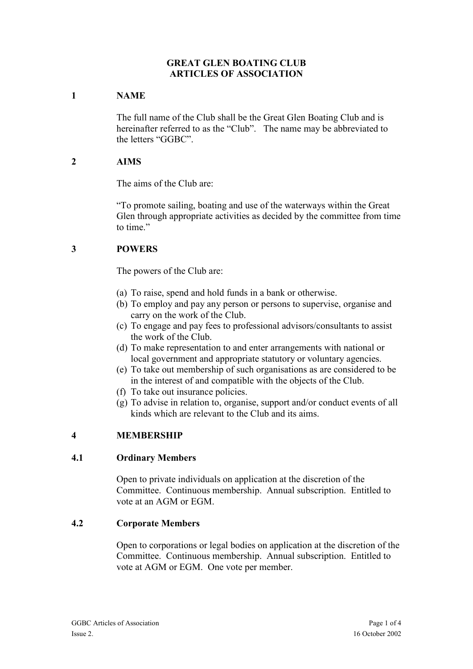#### **GREAT GLEN BOATING CLUB ARTICLES OF ASSOCIATION**

## **1 NAME**

The full name of the Club shall be the Great Glen Boating Club and is hereinafter referred to as the "Club". The name may be abbreviated to the letters "GGBC".

### **2 AIMS**

The aims of the Club are:

"To promote sailing, boating and use of the waterways within the Great Glen through appropriate activities as decided by the committee from time to time."

# **3 POWERS**

The powers of the Club are:

- (a) To raise, spend and hold funds in a bank or otherwise.
- (b) To employ and pay any person or persons to supervise, organise and carry on the work of the Club.
- (c) To engage and pay fees to professional advisors/consultants to assist the work of the Club.
- (d) To make representation to and enter arrangements with national or local government and appropriate statutory or voluntary agencies.
- (e) To take out membership of such organisations as are considered to be in the interest of and compatible with the objects of the Club.
- (f) To take out insurance policies.
- (g) To advise in relation to, organise, support and/or conduct events of all kinds which are relevant to the Club and its aims.

# **4 MEMBERSHIP**

#### **4.1 Ordinary Members**

Open to private individuals on application at the discretion of the Committee. Continuous membership. Annual subscription. Entitled to vote at an AGM or EGM.

#### **4.2 Corporate Members**

Open to corporations or legal bodies on application at the discretion of the Committee. Continuous membership. Annual subscription. Entitled to vote at AGM or EGM. One vote per member.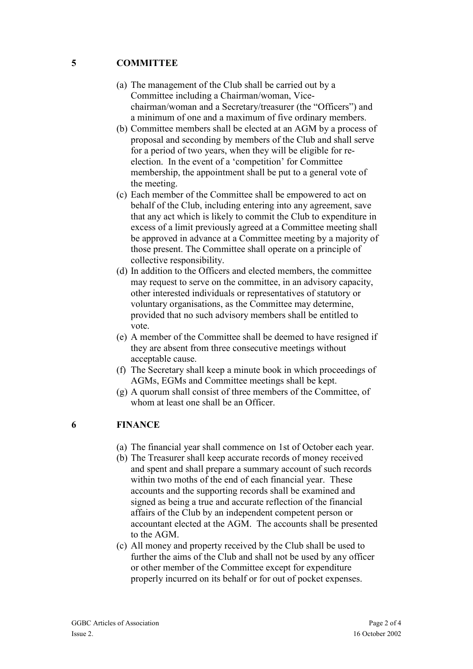#### **5 COMMITTEE**

- (a) The management of the Club shall be carried out by a Committee including a Chairman/woman, Vicechairman/woman and a Secretary/treasurer (the "Officers") and a minimum of one and a maximum of five ordinary members.
- (b) Committee members shall be elected at an AGM by a process of proposal and seconding by members of the Club and shall serve for a period of two years, when they will be eligible for reelection. In the event of a 'competition' for Committee membership, the appointment shall be put to a general vote of the meeting.
- (c) Each member of the Committee shall be empowered to act on behalf of the Club, including entering into any agreement, save that any act which is likely to commit the Club to expenditure in excess of a limit previously agreed at a Committee meeting shall be approved in advance at a Committee meeting by a majority of those present. The Committee shall operate on a principle of collective responsibility.
- (d) In addition to the Officers and elected members, the committee may request to serve on the committee, in an advisory capacity, other interested individuals or representatives of statutory or voluntary organisations, as the Committee may determine, provided that no such advisory members shall be entitled to vote.
- (e) A member of the Committee shall be deemed to have resigned if they are absent from three consecutive meetings without acceptable cause.
- (f) The Secretary shall keep a minute book in which proceedings of AGMs, EGMs and Committee meetings shall be kept.
- (g) A quorum shall consist of three members of the Committee, of whom at least one shall be an Officer.

### **6 FINANCE**

- (a) The financial year shall commence on 1st of October each year.
- (b) The Treasurer shall keep accurate records of money received and spent and shall prepare a summary account of such records within two moths of the end of each financial year. These accounts and the supporting records shall be examined and signed as being a true and accurate reflection of the financial affairs of the Club by an independent competent person or accountant elected at the AGM. The accounts shall be presented to the AGM.
- (c) All money and property received by the Club shall be used to further the aims of the Club and shall not be used by any officer or other member of the Committee except for expenditure properly incurred on its behalf or for out of pocket expenses.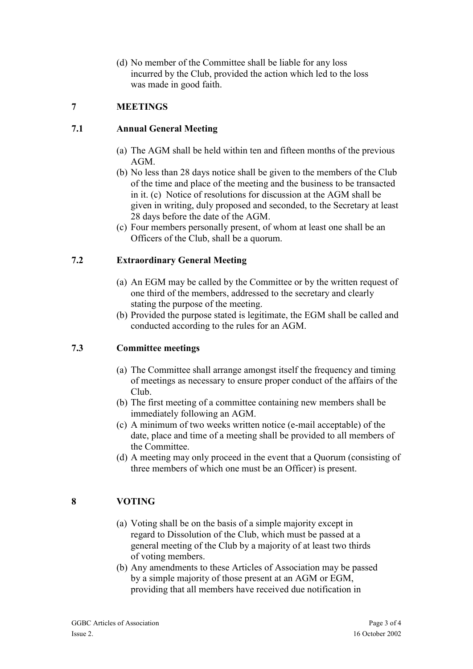(d) No member of the Committee shall be liable for any loss incurred by the Club, provided the action which led to the loss was made in good faith.

## **7 MEETINGS**

### **7.1 Annual General Meeting**

- (a) The AGM shall be held within ten and fifteen months of the previous AGM.
- (b) No less than 28 days notice shall be given to the members of the Club of the time and place of the meeting and the business to be transacted in it. (c) Notice of resolutions for discussion at the AGM shall be given in writing, duly proposed and seconded, to the Secretary at least 28 days before the date of the AGM.
- (c) Four members personally present, of whom at least one shall be an Officers of the Club, shall be a quorum.

### **7.2 Extraordinary General Meeting**

- (a) An EGM may be called by the Committee or by the written request of one third of the members, addressed to the secretary and clearly stating the purpose of the meeting.
- (b) Provided the purpose stated is legitimate, the EGM shall be called and conducted according to the rules for an AGM.

#### **7.3 Committee meetings**

- (a) The Committee shall arrange amongst itself the frequency and timing of meetings as necessary to ensure proper conduct of the affairs of the Club.
- (b) The first meeting of a committee containing new members shall be immediately following an AGM.
- (c) A minimum of two weeks written notice (e-mail acceptable) of the date, place and time of a meeting shall be provided to all members of the Committee.
- (d) A meeting may only proceed in the event that a Quorum (consisting of three members of which one must be an Officer) is present.

# **8 VOTING**

- (a) Voting shall be on the basis of a simple majority except in regard to Dissolution of the Club, which must be passed at a general meeting of the Club by a majority of at least two thirds of voting members.
- (b) Any amendments to these Articles of Association may be passed by a simple majority of those present at an AGM or EGM, providing that all members have received due notification in